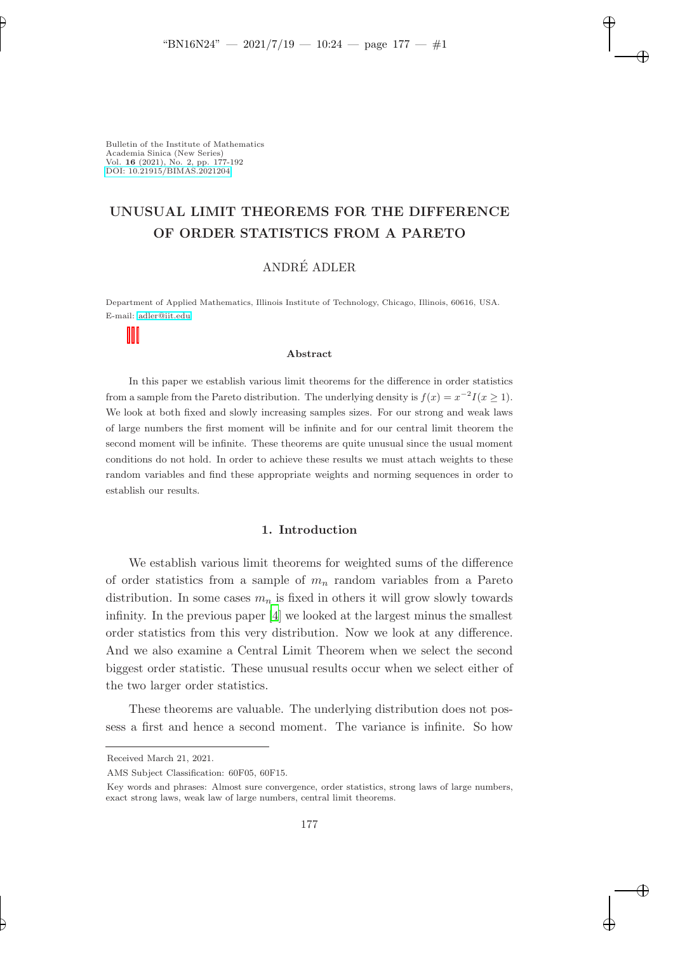✐

✐

✐

Bulletin of the Institute of Mathematics Academia Sinica (New Series) Vol. 16 (2021), No. 2, pp. 177-192 [DOI: 10.21915/BIMAS.2021204](10.21915/BIMAS.2021204)

✐

✐

# UNUSUAL LIMIT THEOREMS FOR THE DIFFERENCE OF ORDER STATISTICS FROM A PARETO

# ANDRÉ ADLER

Department of Applied Mathematics, Illinois Institute of Technology, Chicago, Illinois, 60616, USA. E-mail: [adler@iit.edu](mailto:adler@iit.edu)

#### Abstract

In this paper we establish various limit theorems for the difference in order statistics from a sample from the Pareto distribution. The underlying density is  $f(x) = x^{-2}I(x \ge 1)$ . We look at both fixed and slowly increasing samples sizes. For our strong and weak laws of large numbers the first moment will be infinite and for our central limit theorem the second moment will be infinite. These theorems are quite unusual since the usual moment conditions do not hold. In order to achieve these results we must attach weights to these random variables and find these appropriate weights and norming sequences in order to establish our results.

### 1. Introduction

We establish various limit theorems for weighted sums of the difference of order statistics from a sample of  $m_n$  random variables from a Pareto distribution. In some cases  $m_n$  is fixed in others it will grow slowly towards infinity. In the previous paper [\[4](#page-14-0)] we looked at the largest minus the smallest order statistics from this very distribution. Now we look at any difference. And we also examine a Central Limit Theorem when we select the second biggest order statistic. These unusual results occur when we select either of the two larger order statistics.

These theorems are valuable. The underlying distribution does not possess a first and hence a second moment. The variance is infinite. So how

Received March 21, 2021.

AMS Subject Classification: 60F05, 60F15.

Key words and phrases: Almost sure convergence, order statistics, strong laws of large numbers, exact strong laws, weak law of large numbers, central limit theorems.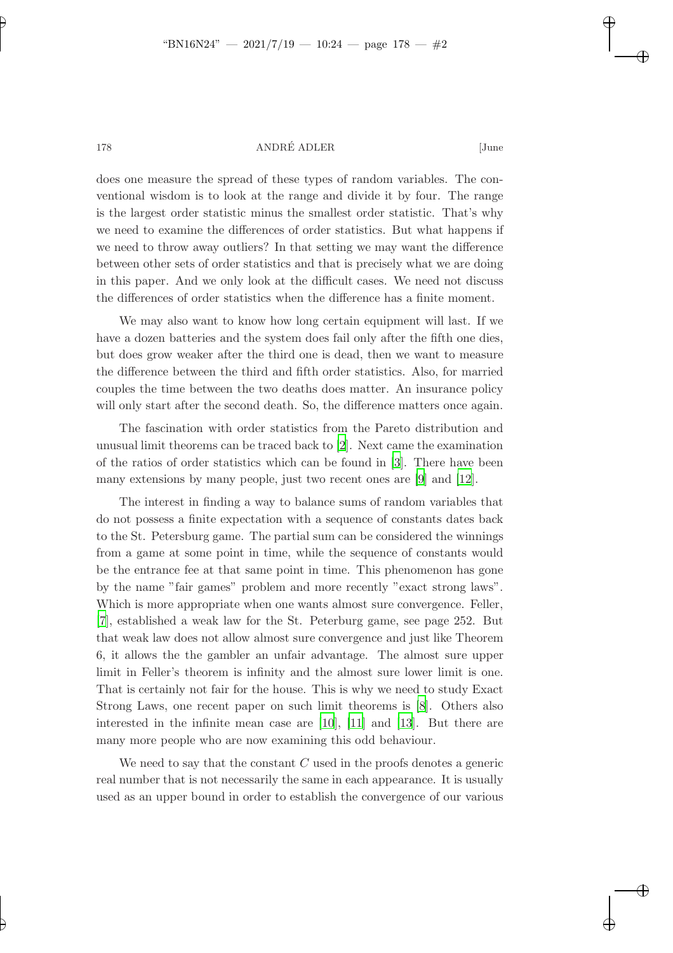✐

### 178 ANDRÉ ADLER [June

✐

✐

✐

✐

does one measure the spread of these types of random variables. The conventional wisdom is to look at the range and divide it by four. The range is the largest order statistic minus the smallest order statistic. That's why we need to examine the differences of order statistics. But what happens if we need to throw away outliers? In that setting we may want the difference between other sets of order statistics and that is precisely what we are doing in this paper. And we only look at the difficult cases. We need not discuss the differences of order statistics when the difference has a finite moment.

We may also want to know how long certain equipment will last. If we have a dozen batteries and the system does fail only after the fifth one dies, but does grow weaker after the third one is dead, then we want to measure the difference between the third and fifth order statistics. Also, for married couples the time between the two deaths does matter. An insurance policy will only start after the second death. So, the difference matters once again.

The fascination with order statistics from the Pareto distribution and unusual limit theorems can be traced back to [\[2\]](#page-14-1). Next came the examination of the ratios of order statistics which can be found in [\[3](#page-14-2)]. There have been many extensions by many people, just two recent ones are [\[9](#page-15-0)] and [\[12\]](#page-15-1).

The interest in finding a way to balance sums of random variables that do not possess a finite expectation with a sequence of constants dates back to the St. Petersburg game. The partial sum can be considered the winnings from a game at some point in time, while the sequence of constants would be the entrance fee at that same point in time. This phenomenon has gone by the name "fair games" problem and more recently "exact strong laws". Which is more appropriate when one wants almost sure convergence. Feller, [\[7](#page-14-3)], established a weak law for the St. Peterburg game, see page 252. But that weak law does not allow almost sure convergence and just like Theorem 6, it allows the the gambler an unfair advantage. The almost sure upper limit in Feller's theorem is infinity and the almost sure lower limit is one. That is certainly not fair for the house. This is why we need to study Exact Strong Laws, one recent paper on such limit theorems is [\[8](#page-15-2)]. Others also interested in the infinite mean case are [\[10](#page-15-3)], [\[11](#page-15-4)] and [\[13](#page-15-5)]. But there are many more people who are now examining this odd behaviour.

We need to say that the constant  $C$  used in the proofs denotes a generic real number that is not necessarily the same in each appearance. It is usually used as an upper bound in order to establish the convergence of our various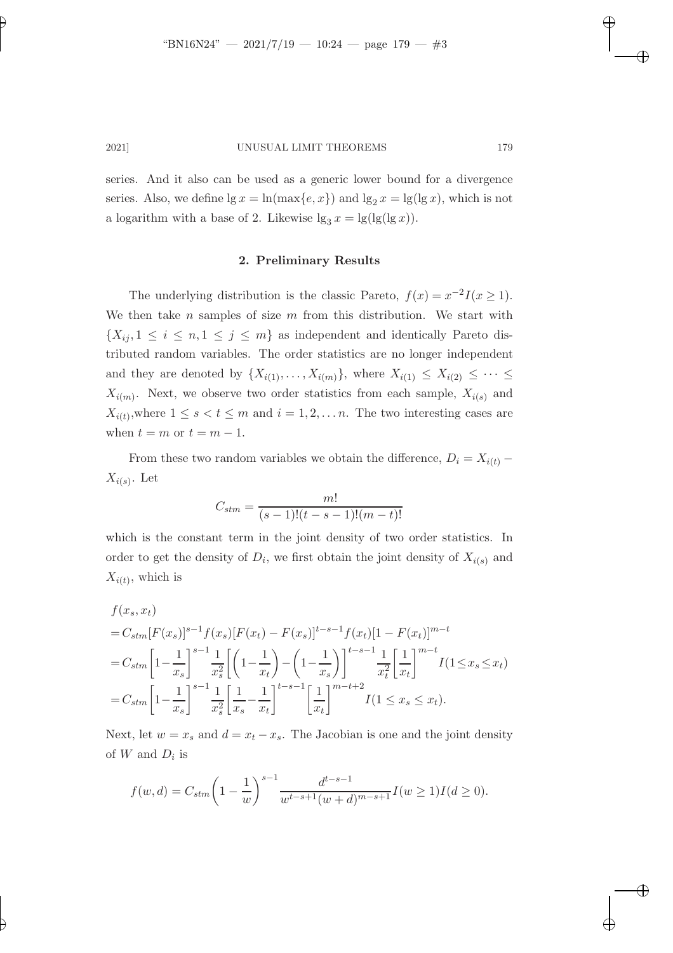✐

✐

✐

✐

✐

2021] UNUSUAL LIMIT THEOREMS 179

series. And it also can be used as a generic lower bound for a divergence series. Also, we define  $\lg x = \ln(\max\{e, x\})$  and  $\lg_2 x = \lg(\lg x)$ , which is not a logarithm with a base of 2. Likewise  $\lg_3 x = \lg(\lg(\lg x))$ .

### 2. Preliminary Results

The underlying distribution is the classic Pareto,  $f(x) = x^{-2}I(x \ge 1)$ . We then take  $n$  samples of size  $m$  from this distribution. We start with  $\{X_{ij}, 1 \leq i \leq n, 1 \leq j \leq m\}$  as independent and identically Pareto distributed random variables. The order statistics are no longer independent and they are denoted by  $\{X_{i(1)},\ldots,X_{i(m)}\}$ , where  $X_{i(1)} \leq X_{i(2)} \leq \cdots \leq X_{i(n)}\}$  $X_{i(m)}$ . Next, we observe two order statistics from each sample,  $X_{i(s)}$  and  $X_{i(t)}$ , where  $1 \leq s < t \leq m$  and  $i = 1, 2, \ldots n$ . The two interesting cases are when  $t = m$  or  $t = m - 1$ .

From these two random variables we obtain the difference,  $D_i = X_{i(t)}$  –  $X_{i(s)}$ . Let

$$
C_{stm} = \frac{m!}{(s-1)!(t-s-1)!(m-t)!}
$$

which is the constant term in the joint density of two order statistics. In order to get the density of  $D_i$ , we first obtain the joint density of  $X_{i(s)}$  and  $X_{i(t)}$ , which is

$$
f(x_s, x_t)
$$
  
=  $C_{stm}[F(x_s)]^{s-1} f(x_s) [F(x_t) - F(x_s)]^{t-s-1} f(x_t) [1 - F(x_t)]^{m-t}$   
=  $C_{stm}\left[1 - \frac{1}{x_s}\right]^{s-1} \frac{1}{x_s^2} \left[\left(1 - \frac{1}{x_t}\right) - \left(1 - \frac{1}{x_s}\right)\right]^{t-s-1} \frac{1}{x_t^2} \left[\frac{1}{x_t}\right]^{m-t} I(1 \le x_s \le x_t)$   
=  $C_{stm}\left[1 - \frac{1}{x_s}\right]^{s-1} \frac{1}{x_s^2} \left[\frac{1}{x_s} - \frac{1}{x_t}\right]^{t-s-1} \left[\frac{1}{x_t}\right]^{m-t+2} I(1 \le x_s \le x_t).$ 

Next, let  $w = x_s$  and  $d = x_t - x_s$ . The Jacobian is one and the joint density of  $W$  and  $D_i$  is

$$
f(w,d) = C_{stm} \left( 1 - \frac{1}{w} \right)^{s-1} \frac{d^{t-s-1}}{w^{t-s+1}(w+d)^{m-s+1}} I(w \ge 1) I(d \ge 0).
$$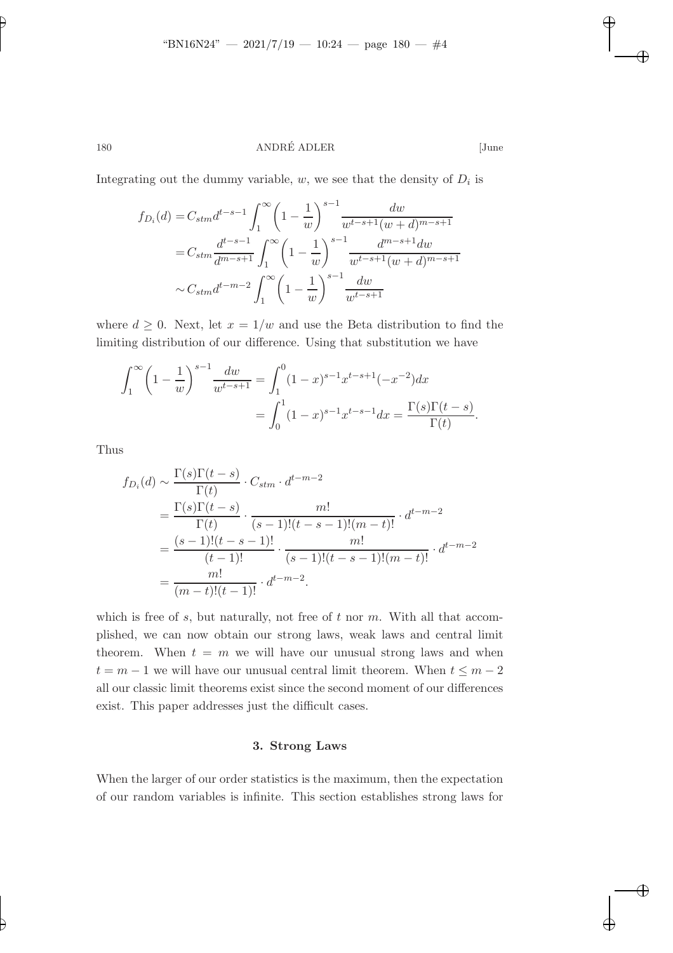### 180 ANDRÉ ADLER [June

✐

✐

✐

✐

Integrating out the dummy variable,  $w$ , we see that the density of  $D_i$  is

$$
f_{D_i}(d) = C_{stm} d^{t-s-1} \int_1^{\infty} \left(1 - \frac{1}{w}\right)^{s-1} \frac{dw}{w^{t-s+1}(w+d)^{m-s+1}}
$$
  
=  $C_{stm} \frac{d^{t-s-1}}{d^{m-s+1}} \int_1^{\infty} \left(1 - \frac{1}{w}\right)^{s-1} \frac{d^{m-s+1}dw}{w^{t-s+1}(w+d)^{m-s+1}}$   
 $\sim C_{stm} d^{t-m-2} \int_1^{\infty} \left(1 - \frac{1}{w}\right)^{s-1} \frac{dw}{w^{t-s+1}}$ 

where  $d \geq 0$ . Next, let  $x = 1/w$  and use the Beta distribution to find the limiting distribution of our difference. Using that substitution we have

$$
\int_{1}^{\infty} \left(1 - \frac{1}{w}\right)^{s-1} \frac{dw}{w^{t-s+1}} = \int_{1}^{0} (1 - x)^{s-1} x^{t-s+1} (-x^{-2}) dx
$$

$$
= \int_{0}^{1} (1 - x)^{s-1} x^{t-s-1} dx = \frac{\Gamma(s)\Gamma(t-s)}{\Gamma(t)}.
$$

Thus

$$
f_{D_i}(d) \sim \frac{\Gamma(s)\Gamma(t-s)}{\Gamma(t)} \cdot C_{stm} \cdot d^{t-m-2}
$$
  
= 
$$
\frac{\Gamma(s)\Gamma(t-s)}{\Gamma(t)} \cdot \frac{m!}{(s-1)!(t-s-1)!(m-t)!} \cdot d^{t-m-2}
$$
  
= 
$$
\frac{(s-1)!(t-s-1)!}{(t-1)!} \cdot \frac{m!}{(s-1)!(t-s-1)!(m-t)!} \cdot d^{t-m-2}
$$
  
= 
$$
\frac{m!}{(m-t)!(t-1)!} \cdot d^{t-m-2}.
$$

which is free of  $s$ , but naturally, not free of  $t$  nor  $m$ . With all that accomplished, we can now obtain our strong laws, weak laws and central limit theorem. When  $t = m$  we will have our unusual strong laws and when  $t = m - 1$  we will have our unusual central limit theorem. When  $t \leq m - 2$ all our classic limit theorems exist since the second moment of our differences exist. This paper addresses just the difficult cases.

#### 3. Strong Laws

When the larger of our order statistics is the maximum, then the expectation of our random variables is infinite. This section establishes strong laws for

✐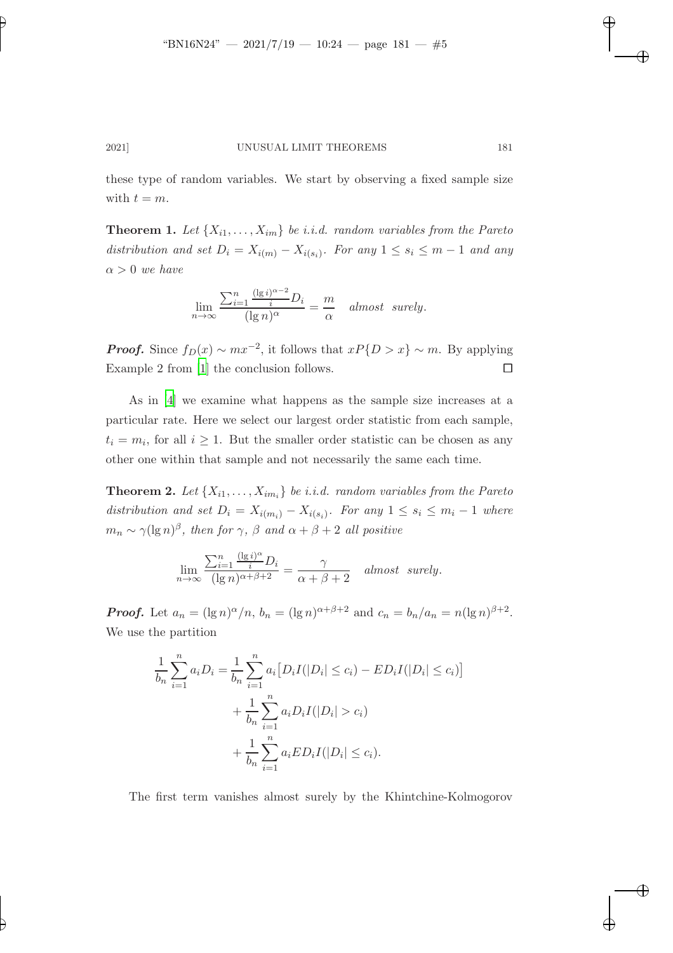✐

✐

✐

✐

✐

2021] UNUSUAL LIMIT THEOREMS 181

these type of random variables. We start by observing a fixed sample size with  $t = m$ .

**Theorem 1.** Let  $\{X_{i1},...,X_{im}\}$  be i.i.d. random variables from the Pareto distribution and set  $D_i = X_{i(m)} - X_{i(s_i)}$ . For any  $1 \leq s_i \leq m-1$  and any  $\alpha > 0$  we have

$$
\lim_{n \to \infty} \frac{\sum_{i=1}^{n} \frac{(\lg i)^{\alpha - 2}}{i} D_i}{(\lg n)^{\alpha}} = \frac{m}{\alpha} \quad almost \ \ surely.
$$

**Proof.** Since  $f_D(x) \sim mx^{-2}$ , it follows that  $xP\{D > x\} \sim m$ . By applying Example 2 from [\[1](#page-14-4)] the conclusion follows.  $\Box$ 

As in [\[4](#page-14-0)] we examine what happens as the sample size increases at a particular rate. Here we select our largest order statistic from each sample,  $t_i = m_i$ , for all  $i \geq 1$ . But the smaller order statistic can be chosen as any other one within that sample and not necessarily the same each time.

**Theorem 2.** Let  $\{X_{i1},...,X_{im_i}\}$  be i.i.d. random variables from the Pareto distribution and set  $D_i = X_{i(m_i)} - X_{i(s_i)}$ . For any  $1 \leq s_i \leq m_i - 1$  where  $m_n \sim \gamma(\lg n)^{\beta}$ , then for  $\gamma$ ,  $\beta$  and  $\alpha + \beta + 2$  all positive

$$
\lim_{n \to \infty} \frac{\sum_{i=1}^n \frac{(\lg i)^{\alpha}}{i} D_i}{(\lg n)^{\alpha + \beta + 2}} = \frac{\gamma}{\alpha + \beta + 2} \quad almost \ \ surely.
$$

**Proof.** Let  $a_n = (\lg n)^{\alpha}/n$ ,  $b_n = (\lg n)^{\alpha+\beta+2}$  and  $c_n = b_n/a_n = n(\lg n)^{\beta+2}$ . We use the partition

$$
\frac{1}{b_n} \sum_{i=1}^n a_i D_i = \frac{1}{b_n} \sum_{i=1}^n a_i [D_i I(|D_i| \le c_i) - ED_i I(|D_i| \le c_i)] \n+ \frac{1}{b_n} \sum_{i=1}^n a_i D_i I(|D_i| > c_i) \n+ \frac{1}{b_n} \sum_{i=1}^n a_i ED_i I(|D_i| \le c_i).
$$

The first term vanishes almost surely by the Khintchine-Kolmogorov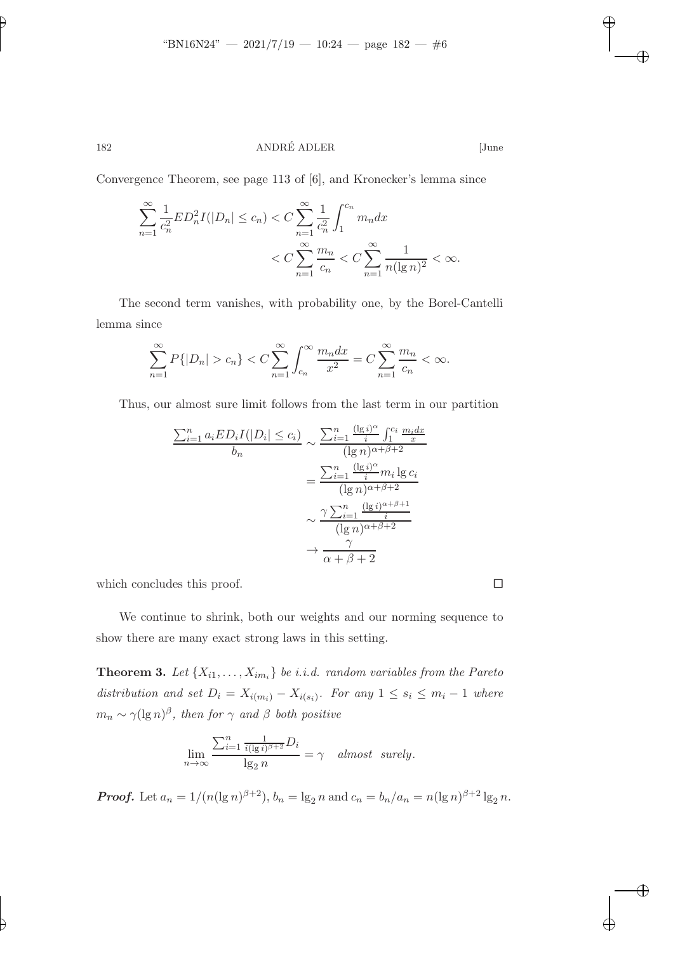182 ANDRÉ ADLER [June

Convergence Theorem, see page 113 of [6], and Kronecker's lemma since

$$
\sum_{n=1}^{\infty} \frac{1}{c_n^2} E D_n^2 I(|D_n| \le c_n) < C \sum_{n=1}^{\infty} \frac{1}{c_n^2} \int_1^{c_n} m_n dx
$$
  
< 
$$
< C \sum_{n=1}^{\infty} \frac{m_n}{c_n} < C \sum_{n=1}^{\infty} \frac{1}{n (\lg n)^2} < \infty.
$$

The second term vanishes, with probability one, by the Borel-Cantelli lemma since

$$
\sum_{n=1}^{\infty} P\{|D_n| > c_n\} < C \sum_{n=1}^{\infty} \int_{c_n}^{\infty} \frac{m_n dx}{x^2} = C \sum_{n=1}^{\infty} \frac{m_n}{c_n} < \infty.
$$

Thus, our almost sure limit follows from the last term in our partition

$$
\frac{\sum_{i=1}^{n} a_i ED_i I(|D_i| \le c_i)}{b_n} \sim \frac{\sum_{i=1}^{n} \frac{(\lg i)^{\alpha}}{i} \int_1^{c_i} \frac{m_i dx}{x}}{(\lg n)^{\alpha+\beta+2}}
$$

$$
= \frac{\sum_{i=1}^{n} \frac{(\lg i)^{\alpha}}{i} m_i \lg c_i}{(\lg n)^{\alpha+\beta+2}}
$$

$$
\sim \frac{\gamma \sum_{i=1}^{n} \frac{(\lg i)^{\alpha+\beta+1}}{(\lg n)^{\alpha+\beta+2}}}{(\lg n)^{\alpha+\beta+2}}
$$

$$
\rightarrow \frac{\gamma}{\alpha+\beta+2}
$$

which concludes this proof.  $\hfill \square$ 

We continue to shrink, both our weights and our norming sequence to show there are many exact strong laws in this setting.

**Theorem 3.** Let  $\{X_{i1},...,X_{im_i}\}$  be i.i.d. random variables from the Pareto distribution and set  $D_i = X_{i(m_i)} - X_{i(s_i)}$ . For any  $1 \leq s_i \leq m_i - 1$  where  $m_n \sim \gamma(\lg n)^{\beta}$ , then for  $\gamma$  and  $\beta$  both positive

$$
\lim_{n \to \infty} \frac{\sum_{i=1}^{n} \frac{1}{i(\lg i)^{\beta+2}} D_i}{\lg_2 n} = \gamma \quad almost \ \ surely.
$$

**Proof.** Let  $a_n = 1/(n(\lg n)^{\beta+2})$ ,  $b_n = \lg_2 n$  and  $c_n = b_n/a_n = n(\lg n)^{\beta+2} \lg_2 n$ .

✐

✐

✐

✐

✐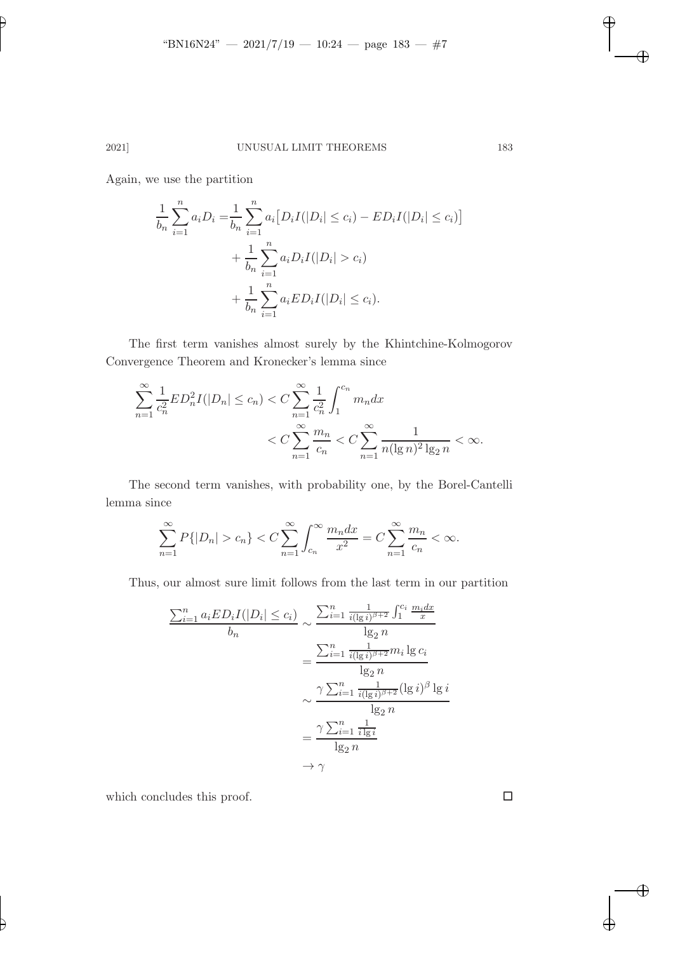# 2021] UNUSUAL LIMIT THEOREMS 183

Again, we use the partition

✐

✐

$$
\frac{1}{b_n} \sum_{i=1}^n a_i D_i = \frac{1}{b_n} \sum_{i=1}^n a_i [D_i I(|D_i| \le c_i) - ED_i I(|D_i| \le c_i)] \n+ \frac{1}{b_n} \sum_{i=1}^n a_i D_i I(|D_i| > c_i) \n+ \frac{1}{b_n} \sum_{i=1}^n a_i ED_i I(|D_i| \le c_i).
$$

The first term vanishes almost surely by the Khintchine-Kolmogorov Convergence Theorem and Kronecker's lemma since

$$
\sum_{n=1}^{\infty} \frac{1}{c_n^2} E D_n^2 I(|D_n| \le c_n) < C \sum_{n=1}^{\infty} \frac{1}{c_n^2} \int_1^{c_n} m_n dx
$$
  
< 
$$
< C \sum_{n=1}^{\infty} \frac{m_n}{c_n} < C \sum_{n=1}^{\infty} \frac{1}{n (\lg n)^2 \lg_2 n} < \infty.
$$

The second term vanishes, with probability one, by the Borel-Cantelli lemma since

$$
\sum_{n=1}^{\infty} P\{|D_n| > c_n\} < C \sum_{n=1}^{\infty} \int_{c_n}^{\infty} \frac{m_n dx}{x^2} = C \sum_{n=1}^{\infty} \frac{m_n}{c_n} < \infty.
$$

Thus, our almost sure limit follows from the last term in our partition

$$
\frac{\sum_{i=1}^{n} a_i ED_i I(|D_i| \le c_i)}{b_n} \sim \frac{\sum_{i=1}^{n} \frac{1}{i(|g_i|)^{\beta+2}} \int_1^{c_i} \frac{m_i dx}{x}}{lg_2 n}
$$

$$
= \frac{\sum_{i=1}^{n} \frac{1}{i(|g_i|)^{\beta+2}} m_i \lg c_i}{\lg_2 n}
$$

$$
\sim \frac{\gamma \sum_{i=1}^{n} \frac{1}{i(|g_i|)^{\beta+2}} (\lg i)^{\beta} \lg i}{\lg_2 n}
$$

$$
= \frac{\gamma \sum_{i=1}^{n} \frac{1}{i \lg i}}{\lg_2 n}
$$

$$
\to \gamma
$$

which concludes this proof.  $\hfill \square$ 

 $\overline{\oplus}$ 

✐

 $\bigoplus$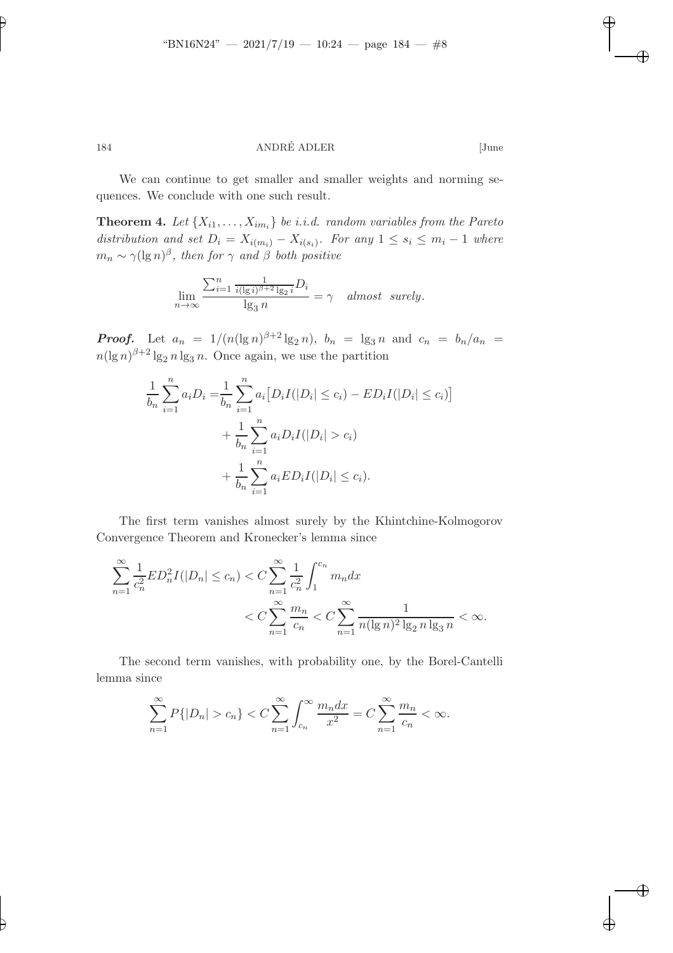✐

✐

✐

✐

✐

# 184 ANDRÉ ADLER [June

We can continue to get smaller and smaller weights and norming sequences. We conclude with one such result.

**Theorem 4.** Let  $\{X_{i1},...,X_{im_i}\}$  be i.i.d. random variables from the Pareto distribution and set  $D_i = X_{i(m_i)} - X_{i(s_i)}$ . For any  $1 \leq s_i \leq m_i - 1$  where  $m_n \sim \gamma(\lg n)^{\beta}$ , then for  $\gamma$  and  $\beta$  both positive

$$
\lim_{n \to \infty} \frac{\sum_{i=1}^{n} \frac{1}{i(\lg i)^{\beta+2} \lg_i i} D_i}{\lg_3 n} = \gamma \quad almost \quad surely.
$$

**Proof.** Let  $a_n = 1/(n(\lg n)^{\beta+2} \lg_2 n)$ ,  $b_n = \lg_3 n$  and  $c_n = b_n/a_n =$  $n(\lg n)^{\beta+2}\lg_2 n \lg_3 n$ . Once again, we use the partition

$$
\frac{1}{b_n} \sum_{i=1}^n a_i D_i = \frac{1}{b_n} \sum_{i=1}^n a_i [D_i I(|D_i| \le c_i) - ED_i I(|D_i| \le c_i)] \n+ \frac{1}{b_n} \sum_{i=1}^n a_i D_i I(|D_i| > c_i) \n+ \frac{1}{b_n} \sum_{i=1}^n a_i ED_i I(|D_i| \le c_i).
$$

The first term vanishes almost surely by the Khintchine-Kolmogorov Convergence Theorem and Kronecker's lemma since

$$
\sum_{n=1}^{\infty} \frac{1}{c_n^2} E D_n^2 I(|D_n| \le c_n) < C \sum_{n=1}^{\infty} \frac{1}{c_n^2} \int_1^{c_n} m_n dx
$$
  
< 
$$
< C \sum_{n=1}^{\infty} \frac{m_n}{c_n} < C \sum_{n=1}^{\infty} \frac{1}{n (\lg n)^2 \lg n \lg n} < \infty.
$$

The second term vanishes, with probability one, by the Borel-Cantelli lemma since

$$
\sum_{n=1}^{\infty} P\{|D_n| > c_n\} < C \sum_{n=1}^{\infty} \int_{c_n}^{\infty} \frac{m_n dx}{x^2} = C \sum_{n=1}^{\infty} \frac{m_n}{c_n} < \infty.
$$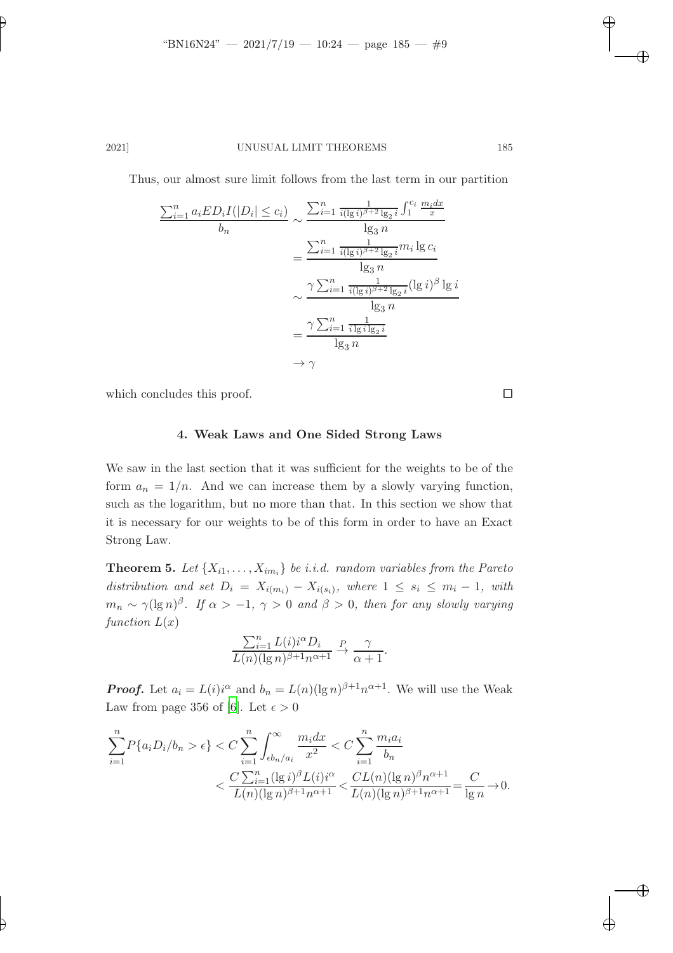## 2021] UNUSUAL LIMIT THEOREMS 185

Thus, our almost sure limit follows from the last term in our partition

$$
\frac{\sum_{i=1}^{n} a_i ED_i I(|D_i| \le c_i)}{b_n} \sim \frac{\sum_{i=1}^{n} \frac{1}{i(\lg i)^{\beta+2} \lg_2 i} \int_1^{c_i} \frac{m_i dx}{x}}{\lg_3 n}
$$

$$
= \frac{\sum_{i=1}^{n} \frac{1}{i(\lg i)^{\beta+2} \lg_2 i} m_i \lg c_i}{\lg_3 n}
$$

$$
\sim \frac{\gamma \sum_{i=1}^{n} \frac{1}{i(\lg i)^{\beta+2} \lg_2 i} (\lg i)^{\beta} \lg i}{\lg_3 n}
$$

$$
= \frac{\gamma \sum_{i=1}^{n} \frac{1}{i \lg i \lg_2 i}}{\lg_3 n}
$$

$$
\to \gamma
$$

which concludes this proof.  $\Box$ 

#### 4. Weak Laws and One Sided Strong Laws

We saw in the last section that it was sufficient for the weights to be of the form  $a_n = 1/n$ . And we can increase them by a slowly varying function, such as the logarithm, but no more than that. In this section we show that it is necessary for our weights to be of this form in order to have an Exact Strong Law.

**Theorem 5.** Let  $\{X_{i1}, \ldots, X_{im_i}\}$  be i.i.d. random variables from the Pareto distribution and set  $D_i = X_{i(m_i)} - X_{i(s_i)}$ , where  $1 \leq s_i \leq m_i - 1$ , with  $m_n \sim \gamma(\lg n)^{\beta}$ . If  $\alpha > -1$ ,  $\gamma > 0$  and  $\beta > 0$ , then for any slowly varying function  $L(x)$ 

$$
\frac{\sum_{i=1}^n L(i) i^{\alpha} D_i}{L(n) (\lg n)^{\beta+1} n^{\alpha+1}} \xrightarrow{P} \frac{\gamma}{\alpha+1}.
$$

**Proof.** Let  $a_i = L(i)i^{\alpha}$  and  $b_n = L(n)(\lg n)^{\beta+1} n^{\alpha+1}$ . We will use the Weak Law from page 356 of [\[6](#page-14-5)]. Let  $\epsilon > 0$ 

$$
\sum_{i=1}^{n} P\{a_i D_i / b_n > \epsilon\} < C \sum_{i=1}^{n} \int_{\epsilon b_n / a_i}^{\infty} \frac{m_i dx}{x^2} < C \sum_{i=1}^{n} \frac{m_i a_i}{b_n} \\
&< \frac{C \sum_{i=1}^{n} (\lg i)^{\beta} L(i) i^{\alpha}}{L(n) (\lg n)^{\beta + 1} n^{\alpha + 1}} < \frac{CL(n) (\lg n)^{\beta} n^{\alpha + 1}}{L(n) (\lg n)^{\beta + 1} n^{\alpha + 1}} = \frac{C}{\lg n} \to 0.
$$

✐

✐

✐

✐

✐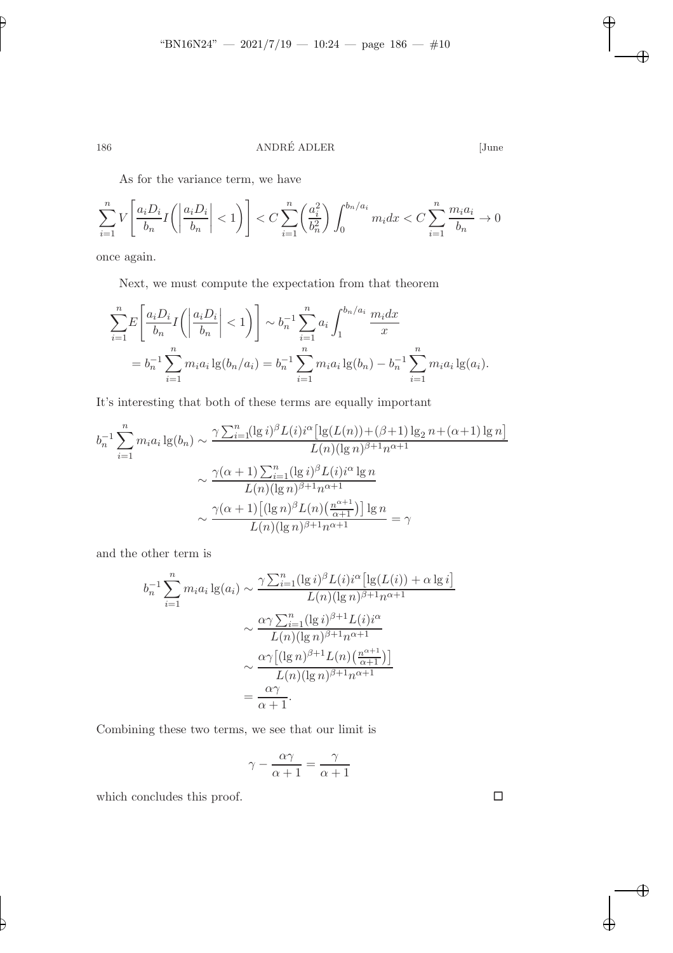✐

# 186 ANDRÉ ADLER [June

 $\overline{\oplus}$ 

✐

As for the variance term, we have

$$
\sum_{i=1}^n V\left[\frac{a_i D_i}{b_n} I\left(\left|\frac{a_i D_i}{b_n}\right| < 1\right)\right] < C \sum_{i=1}^n \left(\frac{a_i^2}{b_n^2}\right) \int_0^{b_n/a_i} m_i dx < C \sum_{i=1}^n \frac{m_i a_i}{b_n} \to 0
$$

once again.

Next, we must compute the expectation from that theorem

$$
\sum_{i=1}^{n} E\left[\frac{a_i D_i}{b_n} I\left(\left|\frac{a_i D_i}{b_n}\right| < 1\right)\right] \sim b_n^{-1} \sum_{i=1}^{n} a_i \int_1^{b_n/a_i} \frac{m_i dx}{x}
$$
\n
$$
= b_n^{-1} \sum_{i=1}^{n} m_i a_i \lg(b_n/a_i) = b_n^{-1} \sum_{i=1}^{n} m_i a_i \lg(b_n) - b_n^{-1} \sum_{i=1}^{n} m_i a_i \lg(a_i).
$$

It's interesting that both of these terms are equally important

$$
b_n^{-1} \sum_{i=1}^n m_i a_i \lg(b_n) \sim \frac{\gamma \sum_{i=1}^n (\lg i)^{\beta} L(i) i^{\alpha} [\lg(L(n)) + (\beta + 1) \lg_2 n + (\alpha + 1) \lg n]}{L(n) (\lg n)^{\beta + 1} n^{\alpha + 1}}
$$

$$
\sim \frac{\gamma(\alpha + 1) \sum_{i=1}^n (\lg i)^{\beta} L(i) i^{\alpha} \lg n}{L(n) (\lg n)^{\beta + 1} n^{\alpha + 1}}
$$

$$
\sim \frac{\gamma(\alpha + 1) [(\lg n)^{\beta} L(n) (\frac{n^{\alpha + 1}}{\alpha + 1})] \lg n}{L(n) (\lg n)^{\beta + 1} n^{\alpha + 1}} = \gamma
$$

and the other term is

$$
b_n^{-1} \sum_{i=1}^n m_i a_i \lg(a_i) \sim \frac{\gamma \sum_{i=1}^n (\lg i)^{\beta} L(i) i^{\alpha} [\lg(L(i)) + \alpha \lg i]}{L(n) (\lg n)^{\beta+1} n^{\alpha+1}}
$$

$$
\sim \frac{\alpha \gamma \sum_{i=1}^n (\lg i)^{\beta+1} L(i) i^{\alpha}}{L(n) (\lg n)^{\beta+1} n^{\alpha+1}}
$$

$$
\sim \frac{\alpha \gamma [(\lg n)^{\beta+1} L(n) (\frac{n^{\alpha+1}}{\alpha+1})]}{L(n) (\lg n)^{\beta+1} n^{\alpha+1}}
$$

$$
= \frac{\alpha \gamma}{\alpha+1}.
$$

Combining these two terms, we see that our limit is

$$
\gamma - \frac{\alpha \gamma}{\alpha + 1} = \frac{\gamma}{\alpha + 1}
$$

which concludes this proof.  $\hfill \square$ 

✐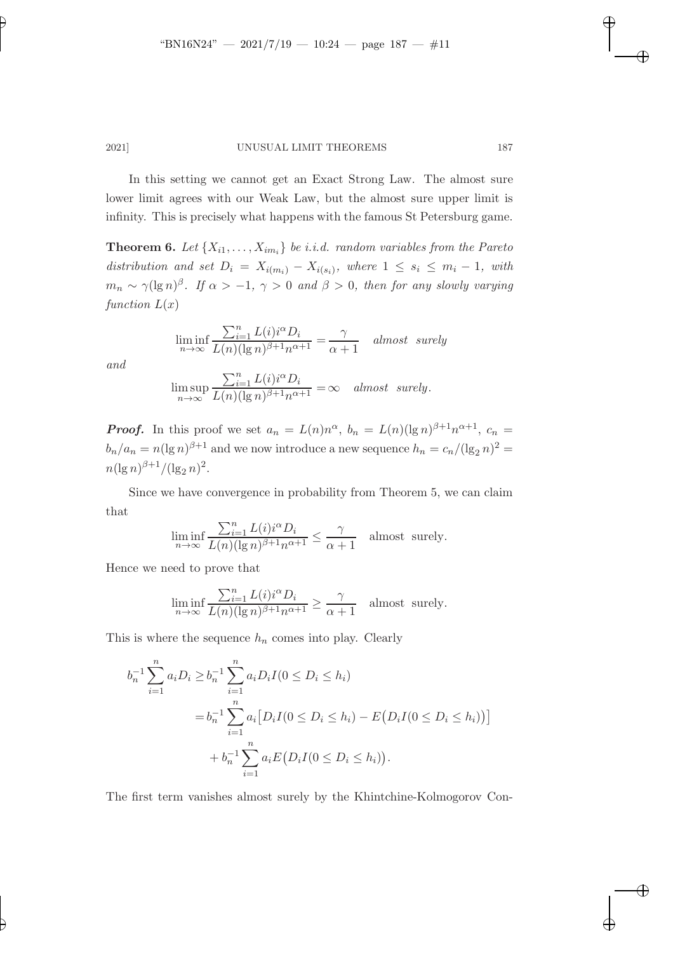✐

✐

✐

2021] UNUSUAL LIMIT THEOREMS 187

In this setting we cannot get an Exact Strong Law. The almost sure lower limit agrees with our Weak Law, but the almost sure upper limit is infinity. This is precisely what happens with the famous St Petersburg game.

**Theorem 6.** Let  $\{X_{i1}, \ldots, X_{im_i}\}$  be i.i.d. random variables from the Pareto distribution and set  $D_i = X_{i(m_i)} - X_{i(s_i)}$ , where  $1 \leq s_i \leq m_i - 1$ , with  $m_n \sim \gamma(\lg n)^\beta$ . If  $\alpha > -1$ ,  $\gamma > 0$  and  $\beta > 0$ , then for any slowly varying function  $L(x)$ 

$$
\liminf_{n \to \infty} \frac{\sum_{i=1}^{n} L(i) i^{\alpha} D_i}{L(n) (\lg n)^{\beta + 1} n^{\alpha + 1}} = \frac{\gamma}{\alpha + 1} \quad almost \ \ surely
$$

and

✐

✐

$$
\limsup_{n \to \infty} \frac{\sum_{i=1}^{n} L(i) i^{\alpha} D_i}{L(n) (\lg n)^{\beta + 1} n^{\alpha + 1}} = \infty \quad almost \ \ surely.
$$

**Proof.** In this proof we set  $a_n = L(n)n^{\alpha}$ ,  $b_n = L(n)(\lg n)^{\beta+1}n^{\alpha+1}$ ,  $c_n =$  $b_n/a_n = n(\lg n)^{\beta+1}$  and we now introduce a new sequence  $h_n = c_n/(\lg_2 n)^2 =$  $n(\lg n)^{\beta+1}/(\lg_2 n)^2$ .

Since we have convergence in probability from Theorem 5, we can claim that

$$
\liminf_{n \to \infty} \frac{\sum_{i=1}^{n} L(i) i^{\alpha} D_i}{L(n) (\lg n)^{\beta+1} n^{\alpha+1}} \le \frac{\gamma}{\alpha+1}
$$
 almost surely.

Hence we need to prove that

$$
\liminf_{n \to \infty} \frac{\sum_{i=1}^n L(i) i^{\alpha} D_i}{L(n) (\lg n)^{\beta + 1} n^{\alpha + 1}} \ge \frac{\gamma}{\alpha + 1}
$$
 almost surely.

This is where the sequence  $h_n$  comes into play. Clearly

$$
b_n^{-1} \sum_{i=1}^n a_i D_i \ge b_n^{-1} \sum_{i=1}^n a_i D_i I(0 \le D_i \le h_i)
$$
  
=  $b_n^{-1} \sum_{i=1}^n a_i [D_i I(0 \le D_i \le h_i) - E(D_i I(0 \le D_i \le h_i))]$   
+  $b_n^{-1} \sum_{i=1}^n a_i E(D_i I(0 \le D_i \le h_i)).$ 

The first term vanishes almost surely by the Khintchine-Kolmogorov Con-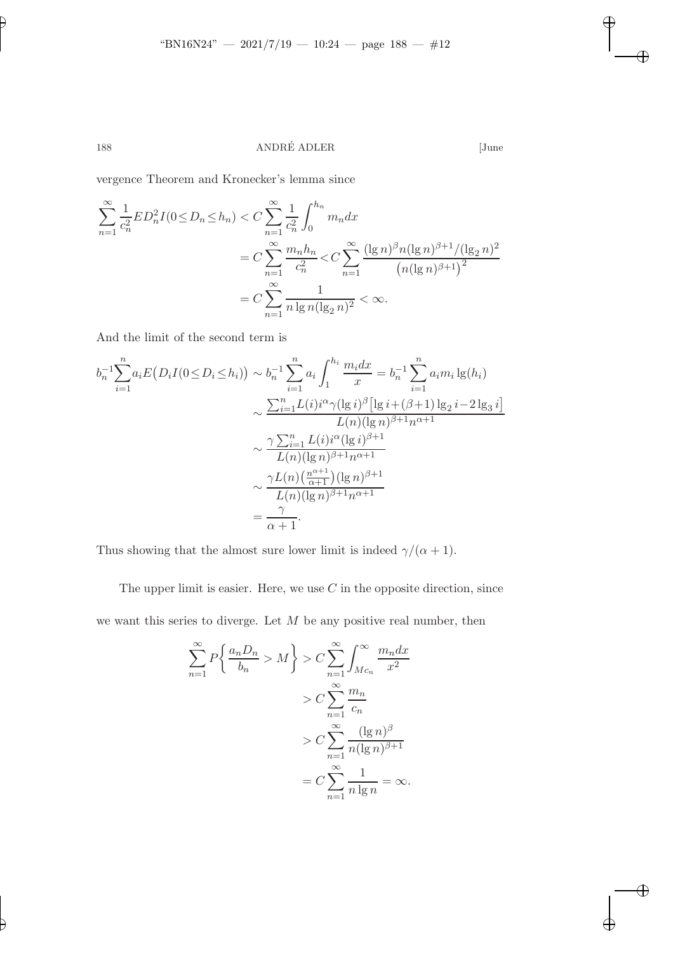188 ANDRÉ ADLER [June

 $\bigoplus$ 

✐

✐

 $\oplus$ 

vergence Theorem and Kronecker's lemma since

$$
\sum_{n=1}^{\infty} \frac{1}{c_n^2} E D_n^2 I(0 \le D_n \le h_n) < C \sum_{n=1}^{\infty} \frac{1}{c_n^2} \int_0^{h_n} m_n dx
$$
  
=  $C \sum_{n=1}^{\infty} \frac{m_n h_n}{c_n^2} < C \sum_{n=1}^{\infty} \frac{(\lg n)^{\beta} n (\lg n)^{\beta+1} / (\lg_2 n)^2}{(n (\lg n)^{\beta+1})^2}$   
=  $C \sum_{n=1}^{\infty} \frac{1}{n \lg n (\lg_2 n)^2} < \infty.$ 

And the limit of the second term is

$$
b_n^{-1} \sum_{i=1}^n a_i E(D_i I(0 \le D_i \le h_i)) \sim b_n^{-1} \sum_{i=1}^n a_i \int_1^{h_i} \frac{m_i dx}{x} = b_n^{-1} \sum_{i=1}^n a_i m_i \lg(h_i)
$$
  

$$
\sim \frac{\sum_{i=1}^n L(i) i^{\alpha} \gamma (\lg i)^{\beta} [\lg i + (\beta + 1) \lg_2 i - 2 \lg_3 i]}{L(n) (\lg n)^{\beta + 1} n^{\alpha + 1}}
$$
  

$$
\sim \frac{\gamma \sum_{i=1}^n L(i) i^{\alpha} (\lg i)^{\beta + 1}}{L(n) (\lg n)^{\beta + 1} n^{\alpha + 1}}
$$
  

$$
\sim \frac{\gamma L(n) (\frac{n^{\alpha + 1}}{\alpha + 1}) (\lg n)^{\beta + 1}}{L(n) (\lg n)^{\beta + 1} n^{\alpha + 1}}
$$
  

$$
= \frac{\gamma}{\alpha + 1}.
$$

Thus showing that the almost sure lower limit is indeed  $\gamma/(\alpha + 1)$ .

The upper limit is easier. Here, we use  $C$  in the opposite direction, since

we want this series to diverge. Let  $M$  be any positive real number, then

$$
\sum_{n=1}^{\infty} P\left\{\frac{a_n D_n}{b_n} > M\right\} > C \sum_{n=1}^{\infty} \int_{Mc_n}^{\infty} \frac{m_n dx}{x^2}
$$

$$
> C \sum_{n=1}^{\infty} \frac{m_n}{c_n}
$$

$$
> C \sum_{n=1}^{\infty} \frac{(\lg n)^{\beta}}{n(\lg n)^{\beta+1}}
$$

$$
= C \sum_{n=1}^{\infty} \frac{1}{n \lg n} = \infty.
$$

✐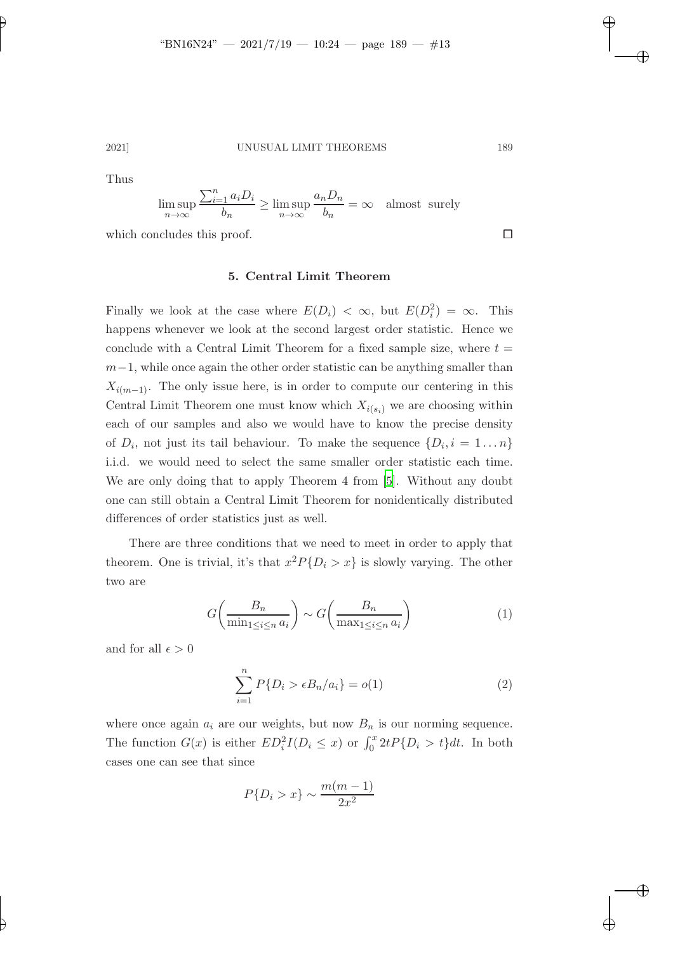✐

# 2021] UNUSUAL LIMIT THEOREMS 189

Thus

$$
\limsup_{n \to \infty} \frac{\sum_{i=1}^{n} a_i D_i}{b_n} \ge \limsup_{n \to \infty} \frac{a_n D_n}{b_n} = \infty \quad \text{almost surely}
$$

which concludes this proof.

#### 5. Central Limit Theorem

Finally we look at the case where  $E(D_i) < \infty$ , but  $E(D_i^2) = \infty$ . This happens whenever we look at the second largest order statistic. Hence we conclude with a Central Limit Theorem for a fixed sample size, where  $t =$  $m-1$ , while once again the other order statistic can be anything smaller than  $X_{i(m-1)}$ . The only issue here, is in order to compute our centering in this Central Limit Theorem one must know which  $X_{i(s_i)}$  we are choosing within each of our samples and also we would have to know the precise density of  $D_i$ , not just its tail behaviour. To make the sequence  $\{D_i, i = 1...n\}$ i.i.d. we would need to select the same smaller order statistic each time. We are only doing that to apply Theorem 4 from [\[5](#page-14-6)]. Without any doubt one can still obtain a Central Limit Theorem for nonidentically distributed differences of order statistics just as well.

There are three conditions that we need to meet in order to apply that theorem. One is trivial, it's that  $x^2 P\{D_i > x\}$  is slowly varying. The other two are

$$
G\left(\frac{B_n}{\min_{1\leq i\leq n} a_i}\right) \sim G\left(\frac{B_n}{\max_{1\leq i\leq n} a_i}\right) \tag{1}
$$

and for all  $\epsilon > 0$ 

<span id="page-12-0"></span>
$$
\sum_{i=1}^{n} P\{D_i > \epsilon B_n / a_i\} = o(1)
$$
 (2)

where once again  $a_i$  are our weights, but now  $B_n$  is our norming sequence. The function  $G(x)$  is either  $ED_i^2I(D_i \leq x)$  or  $\int_0^x 2tP\{D_i > t\}dt$ . In both cases one can see that since

$$
P\{D_i > x\} \sim \frac{m(m-1)}{2x^2}
$$

✐

<span id="page-12-1"></span>✐

✐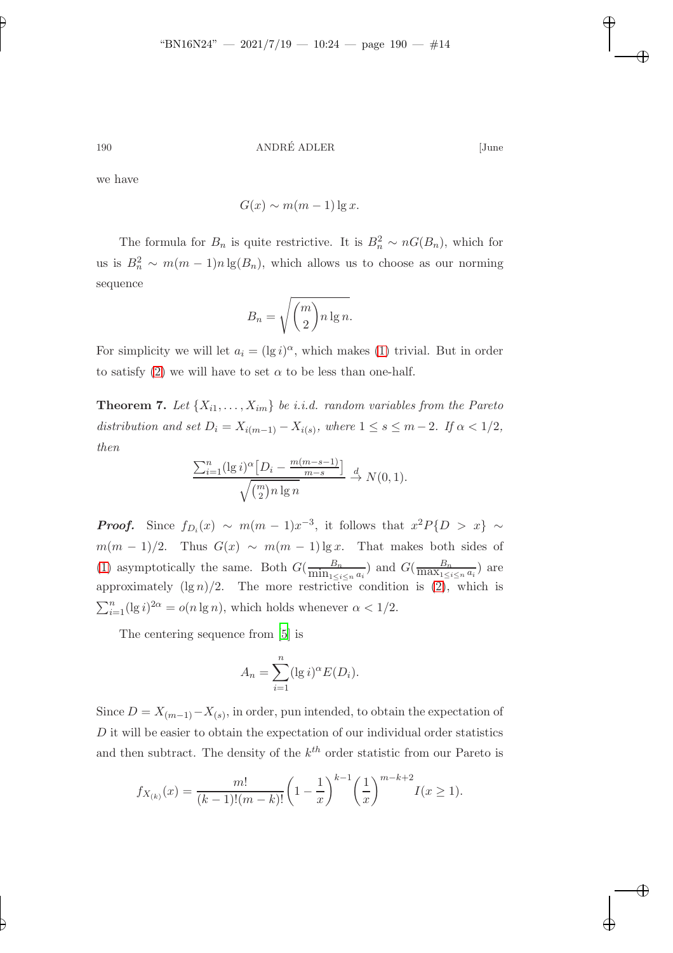✐

190 ANDRÉ ADLER [June

✐

✐

✐

✐

we have

$$
G(x) \sim m(m-1)\lg x.
$$

The formula for  $B_n$  is quite restrictive. It is  $B_n^2 \sim nG(B_n)$ , which for us is  $B_n^2 \sim m(m-1)n \lg(B_n)$ , which allows us to choose as our norming sequence

$$
B_n = \sqrt{\binom{m}{2} n \lg n}.
$$

For simplicity we will let  $a_i = (\lg i)^{\alpha}$ , which makes [\(1\)](#page-12-0) trivial. But in order to satisfy [\(2\)](#page-12-1) we will have to set  $\alpha$  to be less than one-half.

**Theorem 7.** Let  $\{X_{i1}, \ldots, X_{im}\}\$  be i.i.d. random variables from the Pareto distribution and set  $D_i = X_{i(m-1)} - X_{i(s)}$ , where  $1 \leq s \leq m-2$ . If  $\alpha < 1/2$ , then

$$
\frac{\sum_{i=1}^{n} (\lg i)^{\alpha} \left[ D_i - \frac{m(m-s-1)}{m-s} \right]}{\sqrt{\binom{m}{2} n \lg n}} \xrightarrow{d} N(0, 1).
$$

**Proof.** Since  $f_{D_i}(x) \sim m(m-1)x^{-3}$ , it follows that  $x^2P\{D > x\} \sim$  $m(m-1)/2$ . Thus  $G(x) \sim m(m-1) \lg x$ . That makes both sides of [\(1\)](#page-12-0) asymptotically the same. Both  $G(\frac{B_n}{\min_{1 \leq i \leq n} a_i})$  and  $G(\frac{B_n}{\max_{1 \leq i \leq n} a_i})$  are approximately  $(\lg n)/2$ . The more restrictive condition is  $(2)$ , which is  $\sum_{i=1}^{n} (\lg i)^{2\alpha} = o(n \lg n)$ , which holds whenever  $\alpha < 1/2$ .

The centering sequence from [\[5](#page-14-6)] is

$$
A_n = \sum_{i=1}^n (\lg i)^{\alpha} E(D_i).
$$

Since  $D = X_{(m-1)} - X_{(s)}$ , in order, pun intended, to obtain the expectation of D it will be easier to obtain the expectation of our individual order statistics and then subtract. The density of the  $k^{th}$  order statistic from our Pareto is

$$
f_{X_{(k)}}(x) = \frac{m!}{(k-1)!(m-k)!} \left(1 - \frac{1}{x}\right)^{k-1} \left(\frac{1}{x}\right)^{m-k+2} I(x \ge 1).
$$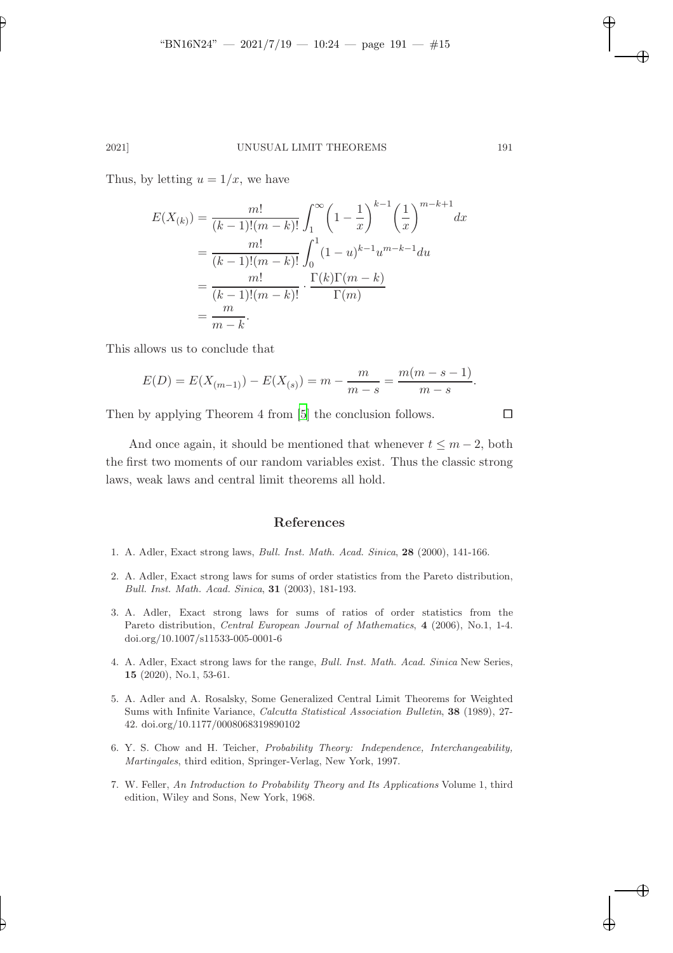### 2021] UNUSUAL LIMIT THEOREMS 191

Thus, by letting  $u = 1/x$ , we have

✐

✐

$$
E(X_{(k)}) = \frac{m!}{(k-1)!(m-k)!} \int_{1}^{\infty} \left(1 - \frac{1}{x}\right)^{k-1} \left(\frac{1}{x}\right)^{m-k+1} dx
$$
  
= 
$$
\frac{m!}{(k-1)!(m-k)!} \int_{0}^{1} (1 - u)^{k-1} u^{m-k-1} du
$$
  
= 
$$
\frac{m!}{(k-1)!(m-k)!} \cdot \frac{\Gamma(k)\Gamma(m-k)}{\Gamma(m)}
$$
  
= 
$$
\frac{m}{m-k}.
$$

This allows us to conclude that

$$
E(D) = E(X_{(m-1)}) - E(X_{(s)}) = m - \frac{m}{m-s} = \frac{m(m-s-1)}{m-s}.
$$

Then by applying Theorem 4 from [\[5](#page-14-6)] the conclusion follows.  $\Box$ 

And once again, it should be mentioned that whenever  $t \leq m-2$ , both the first two moments of our random variables exist. Thus the classic strong laws, weak laws and central limit theorems all hold.

### References

- <span id="page-14-4"></span>1. A. Adler, Exact strong laws, *Bull. Inst. Math. Acad. Sinica*, 28 (2000), 141-166.
- <span id="page-14-1"></span>2. A. Adler, Exact strong laws for sums of order statistics from the Pareto distribution, *Bull. Inst. Math. Acad. Sinica*, 31 (2003), 181-193.
- <span id="page-14-2"></span>3. A. Adler, Exact strong laws for sums of ratios of order statistics from the Pareto distribution, *Central European Journal of Mathematics*, 4 (2006), No.1, 1-4. doi.org/10.1007/s11533-005-0001-6
- <span id="page-14-0"></span>4. A. Adler, Exact strong laws for the range, *Bull. Inst. Math. Acad. Sinica* New Series, 15 (2020), No.1, 53-61.
- <span id="page-14-6"></span>5. A. Adler and A. Rosalsky, Some Generalized Central Limit Theorems for Weighted Sums with Infinite Variance, *Calcutta Statistical Association Bulletin*, 38 (1989), 27- 42. doi.org/10.1177/0008068319890102
- <span id="page-14-5"></span>6. Y. S. Chow and H. Teicher, *Probability Theory: Independence, Interchangeability, Martingales*, third edition, Springer-Verlag, New York, 1997.
- <span id="page-14-3"></span>7. W. Feller, *An Introduction to Probability Theory and Its Applications* Volume 1, third edition, Wiley and Sons, New York, 1968.

✐

✐

✐